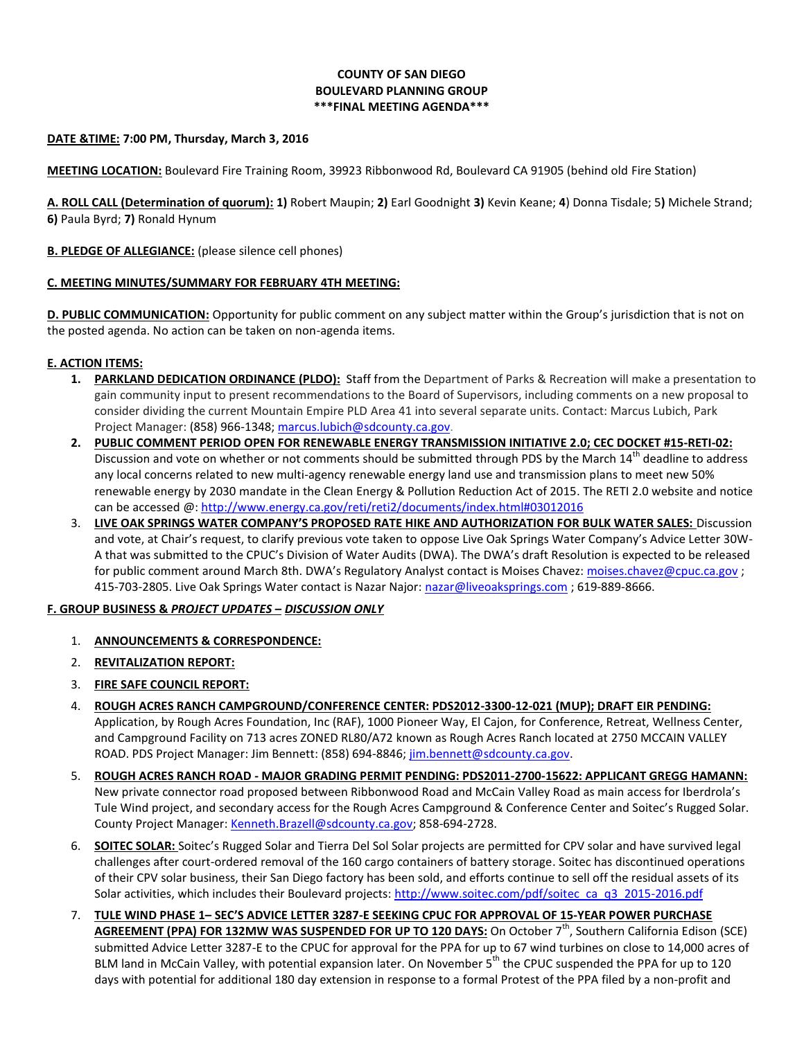# **COUNTY OF SAN DIEGO BOULEVARD PLANNING GROUP \*\*\*FINAL MEETING AGENDA\*\*\***

### **DATE &TIME: 7:00 PM, Thursday, March 3, 2016**

**MEETING LOCATION:** Boulevard Fire Training Room, 39923 Ribbonwood Rd, Boulevard CA 91905 (behind old Fire Station)

**A. ROLL CALL (Determination of quorum): 1)** Robert Maupin; **2)** Earl Goodnight **3)** Kevin Keane; **4**) Donna Tisdale; 5**)** Michele Strand; **6)** Paula Byrd; **7)** Ronald Hynum

#### **B. PLEDGE OF ALLEGIANCE:** (please silence cell phones)

#### **C. MEETING MINUTES/SUMMARY FOR FEBRUARY 4TH MEETING:**

**D. PUBLIC COMMUNICATION:** Opportunity for public comment on any subject matter within the Group's jurisdiction that is not on the posted agenda. No action can be taken on non-agenda items.

#### **E. ACTION ITEMS:**

- **1. PARKLAND DEDICATION ORDINANCE (PLDO):** Staff from the Department of Parks & Recreation will make a presentation to gain community input to present recommendations to the Board of Supervisors, including comments on a new proposal to consider dividing the current Mountain Empire PLD Area 41 into several separate units. Contact: Marcus Lubich, Park Project Manager[: \(858\) 966-1348;](tel:%28858%29%20966-1348) [marcus.lubich@sdcounty.ca.gov.](mailto:marcus.lubich@sdcounty.ca.gov)
- **2. PUBLIC COMMENT PERIOD OPEN FOR RENEWABLE ENERGY TRANSMISSION INITIATIVE 2.0; CEC DOCKET #15-RETI-02:**  Discussion and vote on whether or not comments should be submitted through PDS by the March 14<sup>th</sup> deadline to address any local concerns related to new multi-agency renewable energy land use and transmission plans to meet new 50% renewable energy by 2030 mandate in the Clean Energy & Pollution Reduction Act of 2015. The RETI 2.0 website and notice can be accessed @[: http://www.energy.ca.gov/reti/reti2/documents/index.html#03012016](http://www.energy.ca.gov/reti/reti2/documents/index.html#03012016)
- 3. **LIVE OAK SPRINGS WATER COMPANY'S PROPOSED RATE HIKE AND AUTHORIZATION FOR BULK WATER SALES:** Discussion and vote, at Chair's request, to clarify previous vote taken to oppose Live Oak Springs Water Company's Advice Letter 30W-A that was submitted to the CPUC's Division of Water Audits (DWA). The DWA's draft Resolution is expected to be released for public comment around March 8th. DWA's Regulatory Analyst contact is Moises Chavez: [moises.chavez@cpuc.ca.gov](mailto:moises.chavez@cpuc.ca.gov) ; 415-703-2805. Live Oak Springs Water contact is Nazar Najor: [nazar@liveoaksprings.com](mailto:nazar@liveoaksprings.com) ; 619-889-8666.

## **F. GROUP BUSINESS &** *PROJECT UPDATES* **–** *DISCUSSION ONLY*

- 1. **ANNOUNCEMENTS & CORRESPONDENCE:**
- 2. **REVITALIZATION REPORT:**
- 3. **FIRE SAFE COUNCIL REPORT:**
- 4. **ROUGH ACRES RANCH CAMPGROUND/CONFERENCE CENTER: PDS2012-3300-12-021 (MUP); DRAFT EIR PENDING:** Application, by Rough Acres Foundation, Inc (RAF), 1000 Pioneer Way, El Cajon, for Conference, Retreat, Wellness Center, and Campground Facility on 713 acres ZONED RL80/A72 known as Rough Acres Ranch located at 2750 MCCAIN VALLEY ROAD. PDS Project Manager: Jim Bennett: (858) 694-8846; [jim.bennett@sdcounty.ca.gov.](mailto:jim.bennett@sdcounty.ca.gov)
- 5. **ROUGH ACRES RANCH ROAD - MAJOR GRADING PERMIT PENDING: PDS2011-2700-15622: APPLICANT GREGG HAMANN:** New private connector road proposed between Ribbonwood Road and McCain Valley Road as main access for Iberdrola's Tule Wind project, and secondary access for the Rough Acres Campground & Conference Center and Soitec's Rugged Solar. County Project Manager: [Kenneth.Brazell@sdcounty.ca.gov;](mailto:Kenneth.Brazell@sdcounty.ca.gov) 858-694-2728.
- 6. **SOITEC SOLAR:** Soitec's Rugged Solar and Tierra Del Sol Solar projects are permitted for CPV solar and have survived legal challenges after court-ordered removal of the 160 cargo containers of battery storage. Soitec has discontinued operations of their CPV solar business, their San Diego factory has been sold, and efforts continue to sell off the residual assets of its Solar activities, which includes their Boulevard projects[: http://www.soitec.com/pdf/soitec\\_ca\\_q3\\_2015-2016.pdf](http://www.soitec.com/pdf/soitec_ca_q3_2015-2016.pdf)
- 7. **TULE WIND PHASE 1– SEC'S ADVICE LETTER 3287-E SEEKING CPUC FOR APPROVAL OF 15-YEAR POWER PURCHASE AGREEMENT (PPA) FOR 132MW WAS SUSPENDED FOR UP TO 120 DAYS:** On October 7th, Southern California Edison (SCE) submitted Advice Letter 3287-E to the CPUC for approval for the PPA for up to 67 wind turbines on close to 14,000 acres of BLM land in McCain Valley, with potential expansion later. On November 5<sup>th</sup> the CPUC suspended the PPA for up to 120 days with potential for additional 180 day extension in response to a formal Protest of the PPA filed by a non-profit and